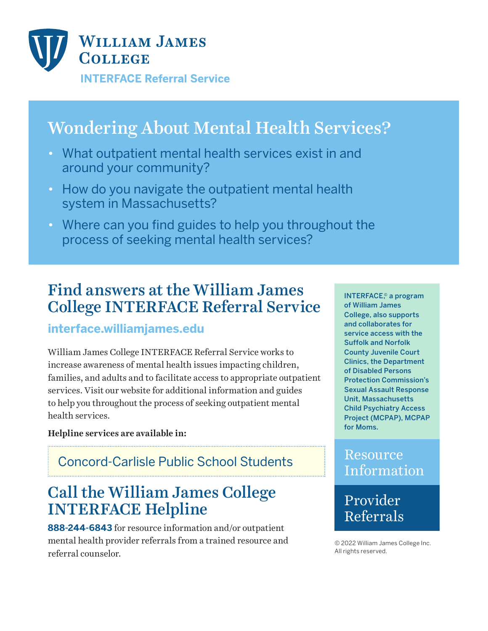

# Wondering About Mental Health Services?

- What outpatient mental health services exist in and around your community?
- How do you navigate the outpatient mental health system in Massachusetts?
- Where can you find guides to help you throughout the process of seeking mental health services?

## Find answers at the William James College INTERFACE Referral Service

#### **interface.williamjames.edu**

William James College INTERFACE Referral Service works to increase awareness of mental health issues impacting children, families, and adults and to facilitate access to appropriate outpatient services. Visit our website for additional information and guides to help you throughout the process of seeking outpatient mental health services.

**Helpline services are available in:**

#### Concord-Carlisle Public School Students

## Call the William James College INTERFACE Helpline

**888-244-6843** for resource information and/or outpatient mental health provider referrals from a trained resource and referral counselor.

INTERFACE,© a program of William James College, also supports and collaborates for service access with the Suffolk and Norfolk County Juvenile Court Clinics, the Department of Disabled Persons Protection Commission's Sexual Assault Response Unit, Massachusetts Child Psychiatry Access Project (MCPAP), MCPAP for Moms.

#### **Resource** Information

### Provider Referrals

© 2022 William James College Inc. All rights reserved.